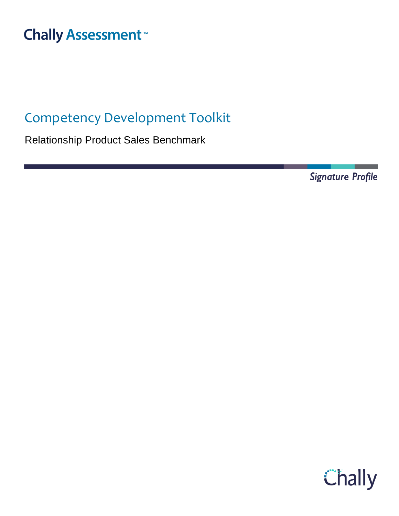# **Chally Assessment**<sup>™</sup>

## Competency Development Toolkit

Relationship Product Sales Benchmark

**Signature Profile** 

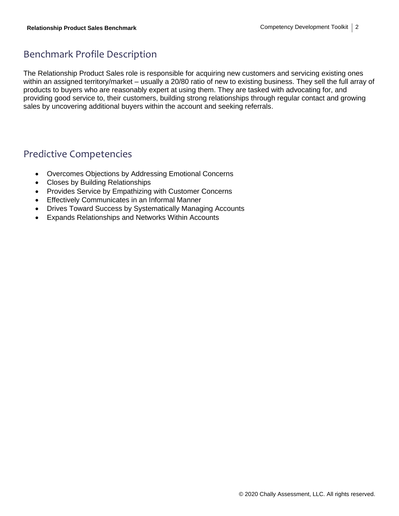### Benchmark Profile Description

The Relationship Product Sales role is responsible for acquiring new customers and servicing existing ones within an assigned territory/market – usually a 20/80 ratio of new to existing business. They sell the full array of products to buyers who are reasonably expert at using them. They are tasked with advocating for, and providing good service to, their customers, building strong relationships through regular contact and growing sales by uncovering additional buyers within the account and seeking referrals.

### Predictive Competencies

- Overcomes Objections by Addressing Emotional Concerns
- Closes by Building Relationships
- Provides Service by Empathizing with Customer Concerns
- Effectively Communicates in an Informal Manner
- Drives Toward Success by Systematically Managing Accounts
- Expands Relationships and Networks Within Accounts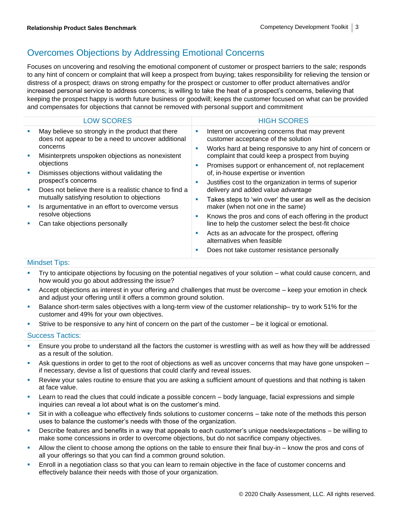### Overcomes Objections by Addressing Emotional Concerns

Focuses on uncovering and resolving the emotional component of customer or prospect barriers to the sale; responds to any hint of concern or complaint that will keep a prospect from buying; takes responsibility for relieving the tension or distress of a prospect; draws on strong empathy for the prospect or customer to offer product alternatives and/or increased personal service to address concerns; is willing to take the heat of a prospect's concerns, believing that keeping the prospect happy is worth future business or goodwill; keeps the customer focused on what can be provided and compensates for objections that cannot be removed with personal support and commitment

|         | <b>LOW SCORES</b>                                                                                                                                                                                                                                                                                                                                                                                                                                                                 |                  | <b>HIGH SCORES</b>                                                                                           |
|---------|-----------------------------------------------------------------------------------------------------------------------------------------------------------------------------------------------------------------------------------------------------------------------------------------------------------------------------------------------------------------------------------------------------------------------------------------------------------------------------------|------------------|--------------------------------------------------------------------------------------------------------------|
| L.<br>ш | May believe so strongly in the product that there<br>does not appear to be a need to uncover additional<br>concerns<br>Misinterprets unspoken objections as nonexistent<br>objections<br>Dismisses objections without validating the<br>prospect's concerns<br>Does not believe there is a realistic chance to find a<br>mutually satisfying resolution to objections<br>Is argumentative in an effort to overcome versus<br>resolve objections<br>Can take objections personally | ш                | Intent on uncovering concerns that may prevent<br>customer acceptance of the solution                        |
|         |                                                                                                                                                                                                                                                                                                                                                                                                                                                                                   | ш                | Works hard at being responsive to any hint of concern or<br>complaint that could keep a prospect from buying |
|         |                                                                                                                                                                                                                                                                                                                                                                                                                                                                                   | ×<br>ш<br>п<br>ш | Promises support or enhancement of, not replacement                                                          |
| ш       |                                                                                                                                                                                                                                                                                                                                                                                                                                                                                   |                  | of, in-house expertise or invention                                                                          |
| ×       |                                                                                                                                                                                                                                                                                                                                                                                                                                                                                   |                  | Justifies cost to the organization in terms of superior<br>delivery and added value advantage                |
| I.      |                                                                                                                                                                                                                                                                                                                                                                                                                                                                                   |                  | Takes steps to 'win over' the user as well as the decision<br>maker (when not one in the same)               |
|         |                                                                                                                                                                                                                                                                                                                                                                                                                                                                                   |                  | Knows the pros and cons of each offering in the product                                                      |
|         |                                                                                                                                                                                                                                                                                                                                                                                                                                                                                   |                  | line to help the customer select the best-fit choice                                                         |
|         |                                                                                                                                                                                                                                                                                                                                                                                                                                                                                   | ш                | Acts as an advocate for the prospect, offering<br>alternatives when feasible                                 |
|         |                                                                                                                                                                                                                                                                                                                                                                                                                                                                                   | ш                | Does not take customer resistance personally                                                                 |
|         |                                                                                                                                                                                                                                                                                                                                                                                                                                                                                   |                  |                                                                                                              |

#### Mindset Tips:

- **•** Try to anticipate objections by focusing on the potential negatives of your solution what could cause concern, and how would you go about addressing the issue?
- **EXECT** Accept objections as interest in your offering and challenges that must be overcome keep your emotion in check and adjust your offering until it offers a common ground solution.
- Balance short-term sales objectives with a long-term view of the customer relationship– try to work 51% for the customer and 49% for your own objectives.
- Strive to be responsive to any hint of concern on the part of the customer be it logical or emotional.

- Ensure you probe to understand all the factors the customer is wrestling with as well as how they will be addressed as a result of the solution.
- Ask questions in order to get to the root of objections as well as uncover concerns that may have gone unspoken if necessary, devise a list of questions that could clarify and reveal issues.
- **EXECT** Review your sales routine to ensure that you are asking a sufficient amount of questions and that nothing is taken at face value.
- Learn to read the clues that could indicate a possible concern body language, facial expressions and simple inquiries can reveal a lot about what is on the customer's mind.
- **EXECT:** Sit in with a colleague who effectively finds solutions to customer concerns take note of the methods this person uses to balance the customer's needs with those of the organization.
- **•** Describe features and benefits in a way that appeals to each customer's unique needs/expectations be willing to make some concessions in order to overcome objections, but do not sacrifice company objectives.
- Allow the client to choose among the options on the table to ensure their final buy-in know the pros and cons of all your offerings so that you can find a common ground solution.
- Enroll in a negotiation class so that you can learn to remain objective in the face of customer concerns and effectively balance their needs with those of your organization.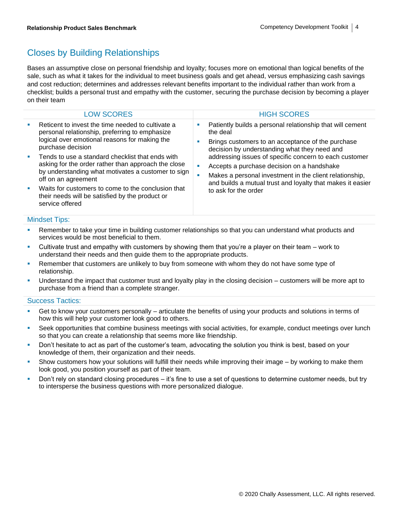### Closes by Building Relationships

Bases an assumptive close on personal friendship and loyalty; focuses more on emotional than logical benefits of the sale, such as what it takes for the individual to meet business goals and get ahead, versus emphasizing cash savings and cost reduction; determines and addresses relevant benefits important to the individual rather than work from a checklist; builds a personal trust and empathy with the customer, securing the purchase decision by becoming a player on their team

| <b>LOW SCORES</b>                                                                                                                                                                                                                                                                                                                                                                                                                                                                             | <b>HIGH SCORES</b>                                                                                                                                                                                                                                                                                                                                                                                                                  |
|-----------------------------------------------------------------------------------------------------------------------------------------------------------------------------------------------------------------------------------------------------------------------------------------------------------------------------------------------------------------------------------------------------------------------------------------------------------------------------------------------|-------------------------------------------------------------------------------------------------------------------------------------------------------------------------------------------------------------------------------------------------------------------------------------------------------------------------------------------------------------------------------------------------------------------------------------|
| Reticent to invest the time needed to cultivate a<br>personal relationship, preferring to emphasize<br>logical over emotional reasons for making the<br>purchase decision<br>Tends to use a standard checklist that ends with<br>asking for the order rather than approach the close<br>by understanding what motivates a customer to sign<br>off on an agreement<br>Waits for customers to come to the conclusion that<br>their needs will be satisfied by the product or<br>service offered | Patiently builds a personal relationship that will cement<br>the deal<br>Brings customers to an acceptance of the purchase<br>decision by understanding what they need and<br>addressing issues of specific concern to each customer<br>Accepts a purchase decision on a handshake<br>Makes a personal investment in the client relationship,<br>and builds a mutual trust and loyalty that makes it easier<br>to ask for the order |

#### Mindset Tips:

- Remember to take your time in building customer relationships so that you can understand what products and services would be most beneficial to them.
- Cultivate trust and empathy with customers by showing them that you're a player on their team work to understand their needs and then guide them to the appropriate products.
- Remember that customers are unlikely to buy from someone with whom they do not have some type of relationship.
- Understand the impact that customer trust and loyalty play in the closing decision customers will be more apt to purchase from a friend than a complete stranger.

- Get to know your customers personally articulate the benefits of using your products and solutions in terms of how this will help your customer look good to others.
- Seek opportunities that combine business meetings with social activities, for example, conduct meetings over lunch so that you can create a relationship that seems more like friendship.
- **•** Don't hesitate to act as part of the customer's team, advocating the solution you think is best, based on your knowledge of them, their organization and their needs.
- Show customers how your solutions will fulfill their needs while improving their image by working to make them look good, you position yourself as part of their team.
- **•** Don't rely on standard closing procedures it's fine to use a set of questions to determine customer needs, but try to intersperse the business questions with more personalized dialogue.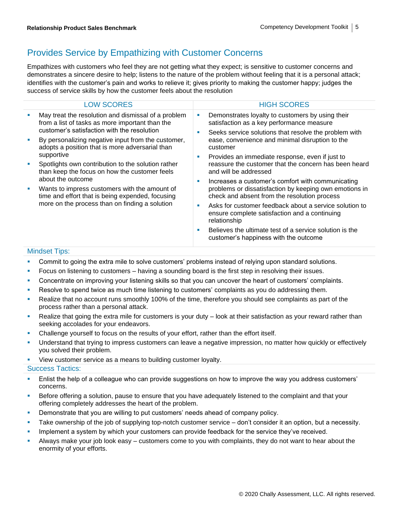### Provides Service by Empathizing with Customer Concerns

Empathizes with customers who feel they are not getting what they expect; is sensitive to customer concerns and demonstrates a sincere desire to help; listens to the nature of the problem without feeling that it is a personal attack; identifies with the customer's pain and works to relieve it; gives priority to making the customer happy; judges the success of service skills by how the customer feels about the resolution

|              | <b>LOW SCORES</b>                                                                                                                                                        |  | <b>HIGH SCORES</b>                                                                                                                                          |
|--------------|--------------------------------------------------------------------------------------------------------------------------------------------------------------------------|--|-------------------------------------------------------------------------------------------------------------------------------------------------------------|
|              | May treat the resolution and dismissal of a problem<br>from a list of tasks as more important than the<br>customer's satisfaction with the resolution                    |  | Demonstrates loyalty to customers by using their<br>satisfaction as a key performance measure<br>Seeks service solutions that resolve the problem with      |
|              | By personalizing negative input from the customer,<br>adopts a position that is more adversarial than                                                                    |  | ease, convenience and minimal disruption to the<br>customer                                                                                                 |
|              | supportive<br>Spotlights own contribution to the solution rather<br>than keep the focus on how the customer feels                                                        |  | Provides an immediate response, even if just to<br>reassure the customer that the concern has been heard<br>and will be addressed                           |
|              | about the outcome<br>Wants to impress customers with the amount of<br>time and effort that is being expended, focusing<br>more on the process than on finding a solution |  | Increases a customer's comfort with communicating<br>problems or dissatisfaction by keeping own emotions in<br>check and absent from the resolution process |
|              |                                                                                                                                                                          |  | Asks for customer feedback about a service solution to<br>ensure complete satisfaction and a continuing<br>relationship                                     |
|              |                                                                                                                                                                          |  | Believes the ultimate test of a service solution is the<br>customer's happiness with the outcome                                                            |
| Mindoot Tino |                                                                                                                                                                          |  |                                                                                                                                                             |

#### Mindset Tips:

- Commit to going the extra mile to solve customers' problems instead of relying upon standard solutions.
- Focus on listening to customers having a sounding board is the first step in resolving their issues.
- Concentrate on improving your listening skills so that you can uncover the heart of customers' complaints.
- **EXECT ASSESS** Resolve to spend twice as much time listening to customers' complaints as you do addressing them.
- Realize that no account runs smoothly 100% of the time, therefore you should see complaints as part of the process rather than a personal attack.
- Realize that going the extra mile for customers is your duty look at their satisfaction as your reward rather than seeking accolades for your endeavors.
- Challenge yourself to focus on the results of your effort, rather than the effort itself.
- **•** Understand that trying to impress customers can leave a negative impression, no matter how quickly or effectively you solved their problem.
- View customer service as a means to building customer loyalty.

- Enlist the help of a colleague who can provide suggestions on how to improve the way you address customers' concerns.
- **EXEL Before offering a solution, pause to ensure that you have adequately listened to the complaint and that your** offering completely addresses the heart of the problem.
- Demonstrate that you are willing to put customers' needs ahead of company policy.
- Take ownership of the job of supplying top-notch customer service don't consider it an option, but a necessity.
- **EXECT** Implement a system by which your customers can provide feedback for the service they've received.
- Always make your job look easy customers come to you with complaints, they do not want to hear about the enormity of your efforts.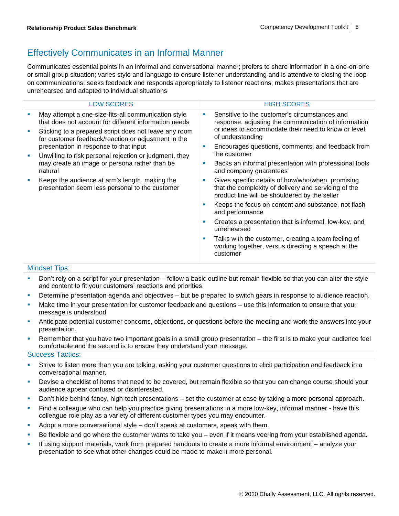### Effectively Communicates in an Informal Manner

Communicates essential points in an informal and conversational manner; prefers to share information in a one-on-one or small group situation; varies style and language to ensure listener understanding and is attentive to closing the loop on communications; seeks feedback and responds appropriately to listener reactions; makes presentations that are unrehearsed and adapted to individual situations

| <b>LOW SCORES</b>                                                                                                                                            |    | <b>HIGH SCORES</b>                                                                                                                                         |
|--------------------------------------------------------------------------------------------------------------------------------------------------------------|----|------------------------------------------------------------------------------------------------------------------------------------------------------------|
| May attempt a one-size-fits-all communication style<br>that does not account for different information needs                                                 | ×  | Sensitive to the customer's circumstances and<br>response, adjusting the communication of information                                                      |
| Sticking to a prepared script does not leave any room<br>for customer feedback/reaction or adjustment in the                                                 |    | or ideas to accommodate their need to know or level<br>of understanding                                                                                    |
| presentation in response to that input<br>Unwilling to risk personal rejection or judgment, they<br>may create an image or persona rather than be<br>natural | п  | Encourages questions, comments, and feedback from<br>the customer                                                                                          |
|                                                                                                                                                              |    |                                                                                                                                                            |
|                                                                                                                                                              | u. | Backs an informal presentation with professional tools<br>and company guarantees                                                                           |
| Keeps the audience at arm's length, making the<br>presentation seem less personal to the customer                                                            | u. | Gives specific details of how/who/when, promising<br>that the complexity of delivery and servicing of the<br>product line will be shouldered by the seller |
|                                                                                                                                                              | п  | Keeps the focus on content and substance, not flash<br>and performance                                                                                     |
|                                                                                                                                                              | ×  | Creates a presentation that is informal, low-key, and<br>unrehearsed                                                                                       |
|                                                                                                                                                              | ×  | Talks with the customer, creating a team feeling of<br>working together, versus directing a speech at the<br>customer                                      |
|                                                                                                                                                              |    |                                                                                                                                                            |

#### Mindset Tips:

- Don't rely on a script for your presentation follow a basic outline but remain flexible so that you can alter the style and content to fit your customers' reactions and priorities.
- Determine presentation agenda and objectives but be prepared to switch gears in response to audience reaction.
- Make time in your presentation for customer feedback and questions use this information to ensure that your message is understood.
- Anticipate potential customer concerns, objections, or questions before the meeting and work the answers into your presentation.
- Remember that you have two important goals in a small group presentation the first is to make your audience feel comfortable and the second is to ensure they understand your message.

- Strive to listen more than you are talking, asking your customer questions to elicit participation and feedback in a conversational manner.
- Devise a checklist of items that need to be covered, but remain flexible so that you can change course should your audience appear confused or disinterested.
- Don't hide behind fancy, high-tech presentations set the customer at ease by taking a more personal approach.
- Find a colleague who can help you practice giving presentations in a more low-key, informal manner have this colleague role play as a variety of different customer types you may encounter.
- Adopt a more conversational style don't speak at customers, speak with them.
- **EXEL** Be flexible and go where the customer wants to take you even if it means veering from your established agenda.
- If using support materials, work from prepared handouts to create a more informal environment analyze your presentation to see what other changes could be made to make it more personal.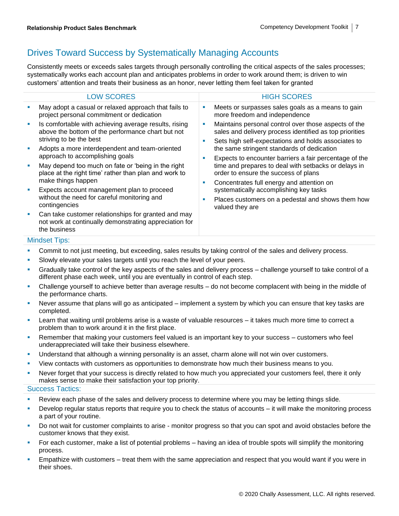### Drives Toward Success by Systematically Managing Accounts

Consistently meets or exceeds sales targets through personally controlling the critical aspects of the sales processes; systematically works each account plan and anticipates problems in order to work around them; is driven to win customers' attention and treats their business as an honor, never letting them feel taken for granted

|   | <b>LOW SCORES</b>                                                                                                                     |        | <b>HIGH SCORES</b>                                                                                                                                                     |
|---|---------------------------------------------------------------------------------------------------------------------------------------|--------|------------------------------------------------------------------------------------------------------------------------------------------------------------------------|
| × | May adopt a casual or relaxed approach that fails to<br>project personal commitment or dedication                                     |        | Meets or surpasses sales goals as a means to gain<br>more freedom and independence                                                                                     |
| × | Is comfortable with achieving average results, rising<br>above the bottom of the performance chart but not<br>striving to be the best | ш<br>ш | Maintains personal control over those aspects of the<br>sales and delivery process identified as top priorities<br>Sets high self-expectations and holds associates to |
| × | Adopts a more interdependent and team-oriented<br>approach to accomplishing goals                                                     | ш      | the same stringent standards of dedication<br>Expects to encounter barriers a fair percentage of the                                                                   |
| × | May depend too much on fate or 'being in the right<br>place at the right time' rather than plan and work to<br>make things happen     | ×      | time and prepares to deal with setbacks or delays in<br>order to ensure the success of plans<br>Concentrates full energy and attention on                              |
| × | Expects account management plan to proceed                                                                                            |        | systematically accomplishing key tasks                                                                                                                                 |
|   | without the need for careful monitoring and<br>contingencies                                                                          |        | Places customers on a pedestal and shows them how<br>valued they are                                                                                                   |
| ш | Can take customer relationships for granted and may<br>not work at continually demonstrating appreciation for<br>the business         |        |                                                                                                                                                                        |

#### Mindset Tips:

- **•** Commit to not just meeting, but exceeding, sales results by taking control of the sales and delivery process.
- Slowly elevate your sales targets until you reach the level of your peers.
- Gradually take control of the key aspects of the sales and delivery process challenge yourself to take control of a different phase each week, until you are eventually in control of each step.
- Challenge yourself to achieve better than average results do not become complacent with being in the middle of the performance charts.
- Never assume that plans will go as anticipated implement a system by which you can ensure that key tasks are completed.
- Learn that waiting until problems arise is a waste of valuable resources it takes much more time to correct a problem than to work around it in the first place.
- Remember that making your customers feel valued is an important key to your success customers who feel underappreciated will take their business elsewhere.
- Understand that although a winning personality is an asset, charm alone will not win over customers.
- **•** View contacts with customers as opportunities to demonstrate how much their business means to you.
- Never forget that your success is directly related to how much you appreciated your customers feel, there it only makes sense to make their satisfaction your top priority.

- Review each phase of the sales and delivery process to determine where you may be letting things slide.
- Develop regular status reports that require you to check the status of accounts it will make the monitoring process a part of your routine.
- Do not wait for customer complaints to arise monitor progress so that you can spot and avoid obstacles before the customer knows that they exist.
- For each customer, make a list of potential problems having an idea of trouble spots will simplify the monitoring process.
- Empathize with customers treat them with the same appreciation and respect that you would want if you were in their shoes.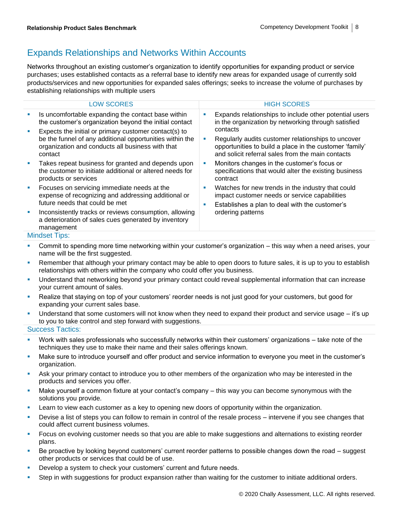### Expands Relationships and Networks Within Accounts

Networks throughout an existing customer's organization to identify opportunities for expanding product or service purchases; uses established contacts as a referral base to identify new areas for expanded usage of currently sold products/services and new opportunities for expanded sales offerings; seeks to increase the volume of purchases by establishing relationships with multiple users

|   | <b>LOW SCORES</b>                                                                                                                                                                |         | <b>HIGH SCORES</b>                                                                                                                                                             |
|---|----------------------------------------------------------------------------------------------------------------------------------------------------------------------------------|---------|--------------------------------------------------------------------------------------------------------------------------------------------------------------------------------|
|   | Is uncomfortable expanding the contact base within<br>the customer's organization beyond the initial contact                                                                     | ш       | Expands relationships to include other potential users<br>in the organization by networking through satisfied                                                                  |
|   | Expects the initial or primary customer contact(s) to<br>be the funnel of any additional opportunities within the<br>organization and conducts all business with that<br>contact | ×       | contacts<br>Regularly audits customer relationships to uncover<br>opportunities to build a place in the customer 'family'<br>and solicit referral sales from the main contacts |
|   | Takes repeat business for granted and depends upon<br>the customer to initiate additional or altered needs for<br>products or services                                           | ш       | Monitors changes in the customer's focus or<br>specifications that would alter the existing business<br>contract                                                               |
| ш | Focuses on servicing immediate needs at the<br>expense of recognizing and addressing additional or<br>future needs that could be met                                             | a.<br>ш | Watches for new trends in the industry that could<br>impact customer needs or service capabilities<br>Establishes a plan to deal with the customer's<br>ordering patterns      |
|   | Inconsistently tracks or reviews consumption, allowing<br>a deterioration of sales cues generated by inventory<br>management                                                     |         |                                                                                                                                                                                |
|   | Mindent Tine:                                                                                                                                                                    |         |                                                                                                                                                                                |

#### Mindset Tips:

- **•** Commit to spending more time networking within your customer's organization this way when a need arises, your name will be the first suggested.
- **EXT** Remember that although your primary contact may be able to open doors to future sales, it is up to you to establish relationships with others within the company who could offer you business.
- **■** Understand that networking beyond your primary contact could reveal supplemental information that can increase your current amount of sales.
- Realize that staying on top of your customers' reorder needs is not just good for your customers, but good for expanding your current sales base.
- **EXECT** Understand that some customers will not know when they need to expand their product and service usage it's up to you to take control and step forward with suggestions.

- Work with sales professionals who successfully networks within their customers' organizations take note of the techniques they use to make their name and their sales offerings known.
- Make sure to introduce yourself and offer product and service information to everyone you meet in the customer's organization.
- Ask your primary contact to introduce you to other members of the organization who may be interested in the products and services you offer.
- Make yourself a common fixture at your contact's company this way you can become synonymous with the solutions you provide.
- Learn to view each customer as a key to opening new doors of opportunity within the organization.
- **EXECT** Devise a list of steps you can follow to remain in control of the resale process intervene if you see changes that could affect current business volumes.
- **Focus on evolving customer needs so that you are able to make suggestions and alternations to existing reorder** plans.
- Be proactive by looking beyond customers' current reorder patterns to possible changes down the road suggest other products or services that could be of use.
- Develop a system to check your customers' current and future needs.
- Step in with suggestions for product expansion rather than waiting for the customer to initiate additional orders.